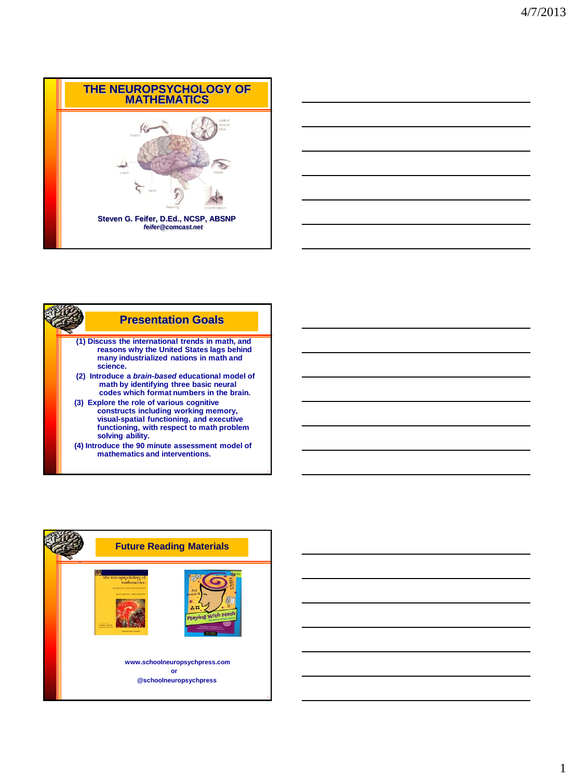





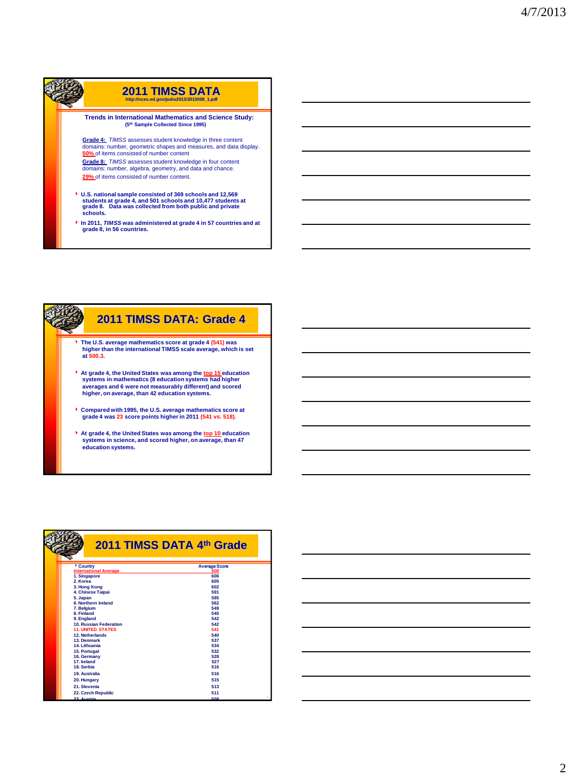



|                                 | 2011 TIMSS DATA 4th Grade |
|---------------------------------|---------------------------|
| Country                         | <b>Average Score</b>      |
| <b>International Average</b>    | 500                       |
| 1. Singapore                    | 606                       |
| 2. Korea                        | 605                       |
| 3. Hong Kong                    | 602                       |
| 4. Chinese Taipai               | 591                       |
| 5. Japan<br>6. Northern Ireland | 585                       |
|                                 | 562                       |
| 7. Belgium<br>8. Finland        | 549<br>545                |
| 9. England                      | 542                       |
| <b>10. Russian Federation</b>   | 542                       |
| <b>11. UNITED STATES</b>        | 541                       |
| 12. Netherlands                 | 540                       |
| 13. Denmark                     | 537                       |
| 14. Lithuania                   | 534                       |
| 15. Portugal                    | 532                       |
| 16. Germany                     | 528                       |
| 17. Ireland                     | 527                       |
| 18. Serbia                      | 516                       |
| 19. Australia                   | 516                       |
| 20. Hungary                     | 515                       |
| 21. Slovenia                    | 513                       |
| 22. Czech Republic              | 511                       |
| 23 Augtria                      | 6<br>EOO                  |

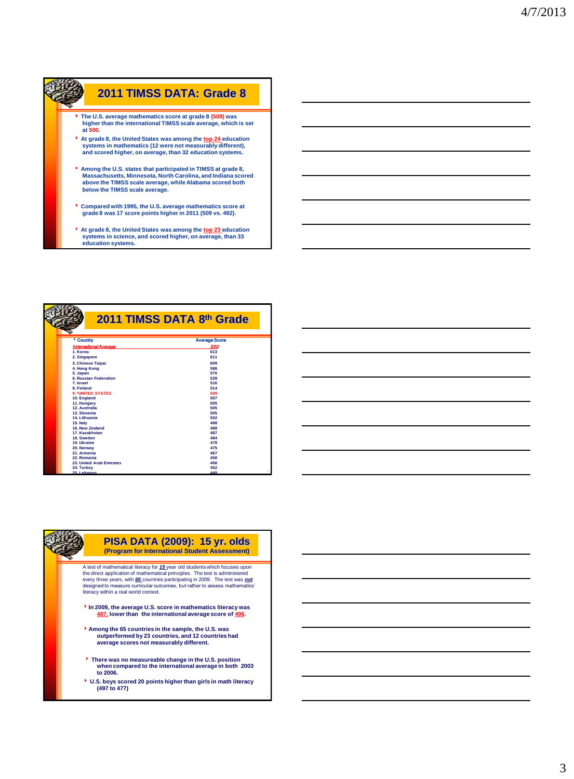

**education systems.** 

| Country                      | <b>Average Score</b> |
|------------------------------|----------------------|
| International Average        | 500                  |
| 1. Korea                     | 613                  |
| 2. Singapore                 | 611                  |
| 3. Chinese Taipai            | 609                  |
| 4. Hong Kong                 | 586                  |
| 5. Japan                     | 570                  |
| <b>6. Russian Federation</b> | 539                  |
| 7. Israel                    | 516                  |
| 8. Finland                   | 514                  |
| <b>9. 'UNITED STATES</b>     | 509                  |
| 10. England                  | 507                  |
| 11. Hungary                  | 505                  |
| 12. Australia                | 505                  |
| 13. Slovenia                 | 505                  |
| 14. Lithuania                | 502                  |
| 15. Italy                    | 498                  |
| 16. New Zealand              | 488                  |
| 17. Kazakhstan               | 487                  |
| 18. Sweden                   | 484                  |
| 19. Ukraine                  | 479<br>475           |
| 20. Norway<br>21. Armenia    | 467                  |
| 22. Romania                  | 458                  |
| 23. United Arab Emirates     | 456                  |
| 24. Turkey                   | 452                  |
| 25. Lebanon                  | 449                  |





the direct application of mathematical principles. The test is administered<br>every three years, with 65 countries participating in 2009. The test was **not**<br>designed to measure curricular outcomes, but rather to assess mathe

- **In 2009, the average U.S. score in mathematics literacy was 487, lower than the international average score of 496.**
- **Among the 65 countries in the sample, the U.S. was outperformed by 23 countries, and 12 countries had average scores not measurably different.**
- **There was no measureable change in the U.S. position when compared to the international average in both 2003 to 2006.**
- **U.S. boys scored 20 points higher than girls in math literacy (497 to 477)**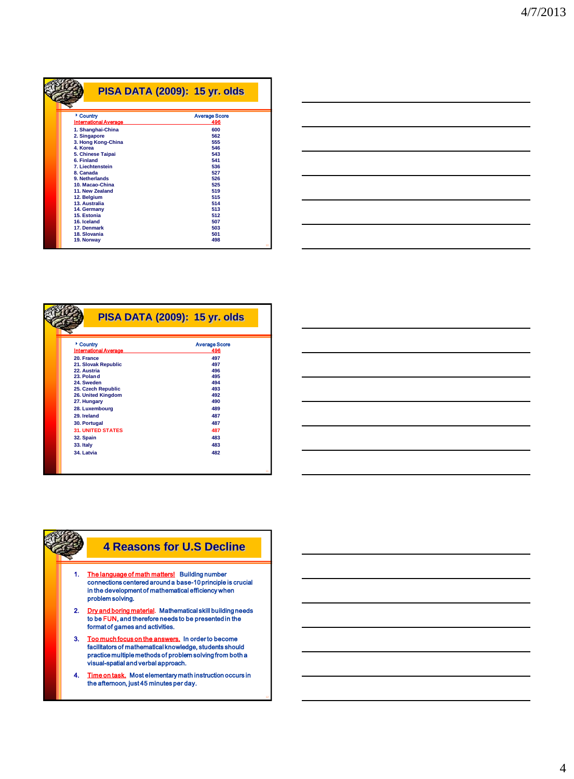|                                                                                                                                                                                                                       | <b>PISA DATA (2009): 15 yr. olds</b>                                                              |
|-----------------------------------------------------------------------------------------------------------------------------------------------------------------------------------------------------------------------|---------------------------------------------------------------------------------------------------|
| Country<br><b>International Average</b><br>1. Shanghai-China<br>2. Singapore<br>3. Hong Kong-China<br>4. Korea<br>5. Chinese Taipai<br>6 Finland<br>7. Liechtenstein<br>8 Canada<br>9. Netherlands<br>10. Macao-China | <b>Average Score</b><br>496<br>600<br>562<br>555<br>546<br>543<br>541<br>536<br>527<br>526<br>525 |
| 11. New Zealand<br>12. Belgium<br>13. Australia<br>14. Germany<br>15. Estonia<br>16. Iceland<br>17. Denmark<br>18. Slovania<br>19. Norway                                                                             | 519<br>515<br>514<br>513<br>512<br>507<br>503<br>501<br>498<br>10                                 |



|                              | <b>PISA DATA (2009): 15 yr. olds</b> |
|------------------------------|--------------------------------------|
| Country                      | <b>Average Score</b>                 |
| <b>International Average</b> | 496                                  |
| 20. France                   | 497                                  |
| 21. Slovak Republic          | 497                                  |
| 22. Austria                  | 496                                  |
| 23 Poland                    | 495                                  |
| 24. Sweden                   | 494                                  |
| 25. Czech Republic           | 493                                  |
| 26. United Kingdom           | 492                                  |
| 27. Hungary                  | 490                                  |
| 28. Luxembourg               | 489                                  |
| 29. Ireland                  | 487                                  |
| 30. Portugal                 | 487                                  |
| <b>31. UNITED STATES</b>     | 487                                  |
| 32. Spain                    | 483                                  |
| 33. Italy                    | 483                                  |
| 34. Latvia                   | 482                                  |



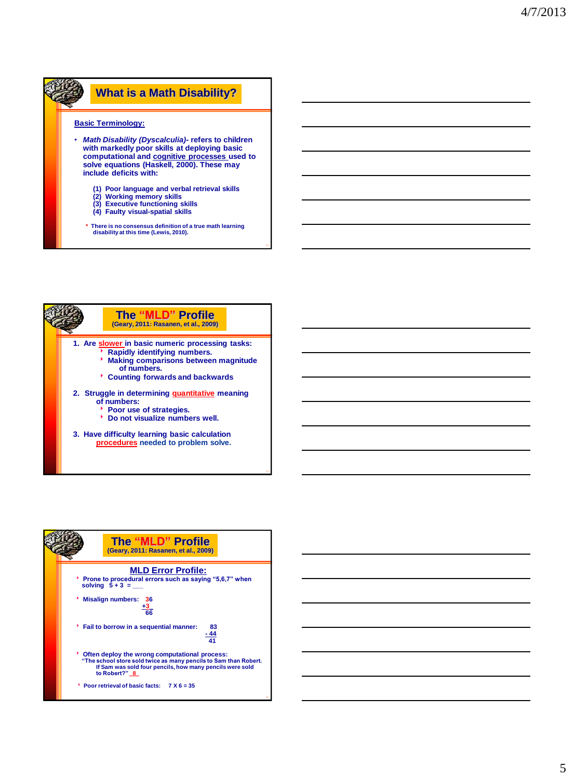## **What is a Math Disability? Basic Terminology:** • *Math Disability (Dyscalculia)-* **refers to children with markedly poor skills at deploying basic computational and cognitive processes used to solve equations (Haskell, 2000). These may include deficits with: (1) Poor language and verbal retrieval skills (2) Working memory skills (3) Executive functioning skills (4) Faulty visual-spatial skills**

- 
- **\* There is no consensus definition of a true math learning disability at this time (Lewis, 2010).**





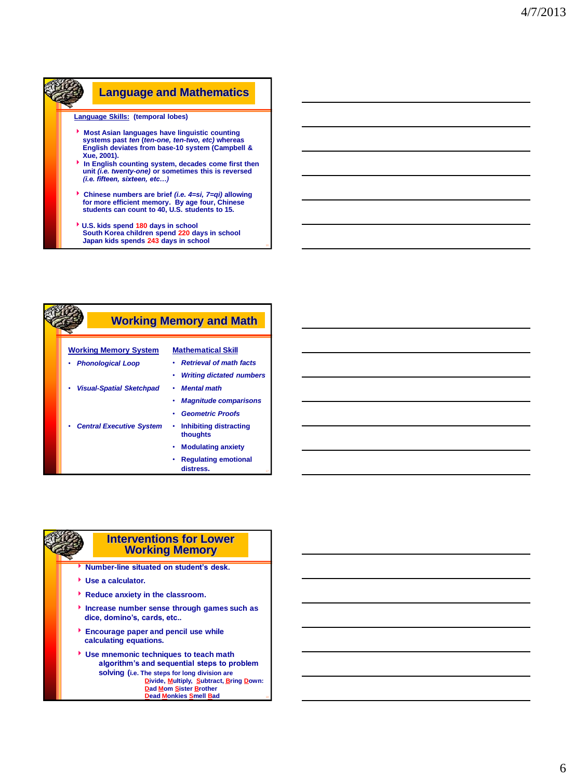

|                                 | <b>Working Memory and Math</b>           |
|---------------------------------|------------------------------------------|
| <b>Working Memory System</b>    | <b>Mathematical Skill</b>                |
| <b>Phonological Loop</b>        | <b>Retrieval of math facts</b>           |
|                                 | <b>Writing dictated numbers</b><br>٠     |
| <b>Visual-Spatial Sketchpad</b> | <b>Mental math</b>                       |
|                                 | <b>Magnitude comparisons</b>             |
|                                 | <b>Geometric Proofs</b>                  |
| <b>Central Executive System</b> | Inhibiting distracting<br>thoughts       |
|                                 | <b>Modulating anxiety</b><br>٠           |
|                                 | <b>Regulating emotional</b><br>distress. |

### **Interventions for Lower Working Memory**

- **Number-line situated on student's desk.**
- **Use a calculator.**
- **Reduce anxiety in the classroom.**
- **Increase number sense through games such as dice, domino's, cards, etc..**
- **Encourage paper and pencil use while calculating equations.**
- **Use mnemonic techniques to teach math algorithm's and sequential steps to problem solving (i.e. The steps for long division are Divide, Multiply, Subtract, Bring Down: Dad Mom Sister Brother Dead Monkies Smell Bad**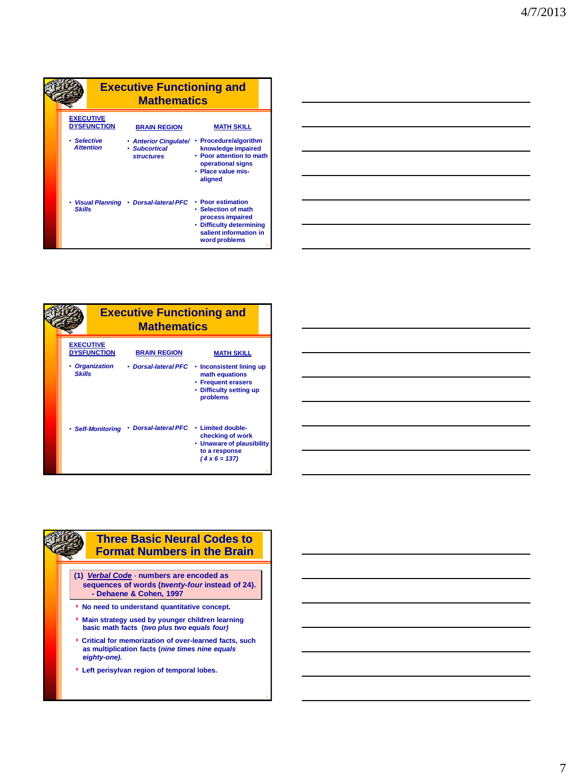|                  |                    | <b>Executive Functioning and</b><br><b>Mathematics</b>        |                                                                                                                                     |
|------------------|--------------------|---------------------------------------------------------------|-------------------------------------------------------------------------------------------------------------------------------------|
| <b>EXECUTIVE</b> | <b>DYSFUNCTION</b> | <b>BRAIN REGION</b>                                           | <b>MATH SKILL</b>                                                                                                                   |
| • Selective      | <b>Attention</b>   | • Anterior Cingulate/ •<br>· Subcortical<br><b>structures</b> | <b>Procedure/algorithm</b><br>knowledge impaired<br>• Poor attention to math<br>operational signs<br>· Place value mis-<br>aligned  |
| <b>Skills</b>    |                    | Visual Planning • Dorsal-lateral PFC                          | • Poor estimation<br>• Selection of math<br>process impaired<br>• Difficulty determining<br>salient information in<br>word problems |

| <u> 1989 - Johann Stoff, deutscher Stoff, der Stoff, der Stoff, der Stoff, der Stoff, der Stoff, der Stoff, der S</u> |  |  |
|-----------------------------------------------------------------------------------------------------------------------|--|--|
| <u> 1989 - Johann Harry Harry Harry Harry Harry Harry Harry Harry Harry Harry Harry Harry Harry Harry Harry Harry</u> |  |  |
|                                                                                                                       |  |  |
| <u> 1989 - Johann Stoff, amerikansk politiker (d. 1989)</u>                                                           |  |  |
| <u> 1989 - Johann Stoff, deutscher Stoffen und der Stoffen und der Stoffen und der Stoffen und der Stoffen und d</u>  |  |  |
| a series and the contract of the contract of the contract of the contract of the contract of the contract of th       |  |  |
|                                                                                                                       |  |  |

|               |                                        | <b>Executive Functioning and</b><br><b>Mathematics</b> |                                                                                                                       |
|---------------|----------------------------------------|--------------------------------------------------------|-----------------------------------------------------------------------------------------------------------------------|
|               | <b>EXECUTIVE</b><br><b>DYSFUNCTION</b> | <b>BRAIN REGION</b>                                    | <b>MATH SKILL</b>                                                                                                     |
| <b>Skills</b> | • Organization                         | • Dorsal-lateral PFC                                   | Inconsistent lining up<br>٠<br>math equations<br>• Frequent erasers<br>• Difficulty setting up<br>problems            |
|               | · Self-Monitoring                      | • Dorsal-lateral PFC                                   | <b>Limited double-</b><br>٠<br>checking of work<br>• Unaware of plausibility<br>to a response<br>$(4 \times 6 = 137)$ |

## **Three Basic Neural Codes to Format Numbers in the Brain**

- **(1)** *Verbal Code* **numbers are encoded as sequences of words (***twenty-four* **instead of 24). - Dehaene & Cohen, 1997**
- **No need to understand quantitative concept.**
- **Main strategy used by younger children learning basic math facts (***two plus two equals four)*
- **Critical for memorization of over-learned facts, such as multiplication facts (***nine times nine equals eighty-one)***.**
- **Left perisylvan region of temporal lobes.**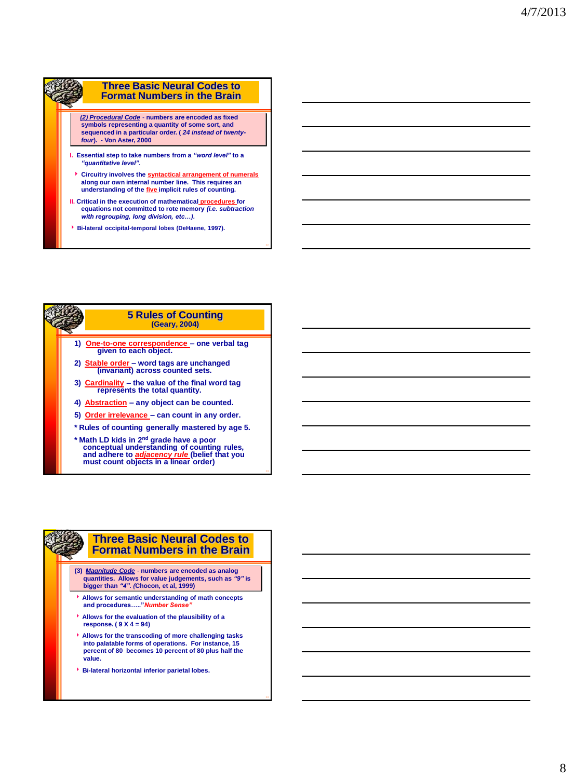### **Three Basic Neural Codes to Format Numbers in the Brain**

 *(2) Procedural Code* - **numbers are encoded as fixed symbols representing a quantity of some sort, and sequenced in a particular order. (** *24 instead of twentyfour***). - Von Aster, 2000**

- **I. Essential step to take numbers from a** *"word level"* **to a**  *"quantitative level".*
- **Circuitry involves the syntactical arrangement of numerals along our own internal number line. This requires an understanding of the five implicit rules of counting.**
- **II. Critical in the execution of mathematical procedures for equations not committed to rote memory** *(i.e. subtraction with regrouping, long division, etc…).*
- **Bi-lateral occipital-temporal lobes (DeHaene, 1997).**



**must count objects in a linear order)**

#### **Three Basic Neural Codes to Format Numbers in the Brain**

- **(3)** *Magnitude Code* **numbers are encoded as analog quantities. Allows for value judgements, such as** *"9"* **is bigger than** *"4". (***Chocon, et al, 1999)**
- **Allows for semantic understanding of math concepts and procedures….."***Number Sense"*
- **Allows for the evaluation of the plausibility of a response. ( 9 X 4 = 94)**
- **Allows for the transcoding of more challenging tasks into palatable forms of operations. For instance, 15 percent of 80 becomes 10 percent of 80 plus half the value.**
- **Bi-lateral horizontal inferior parietal lobes.**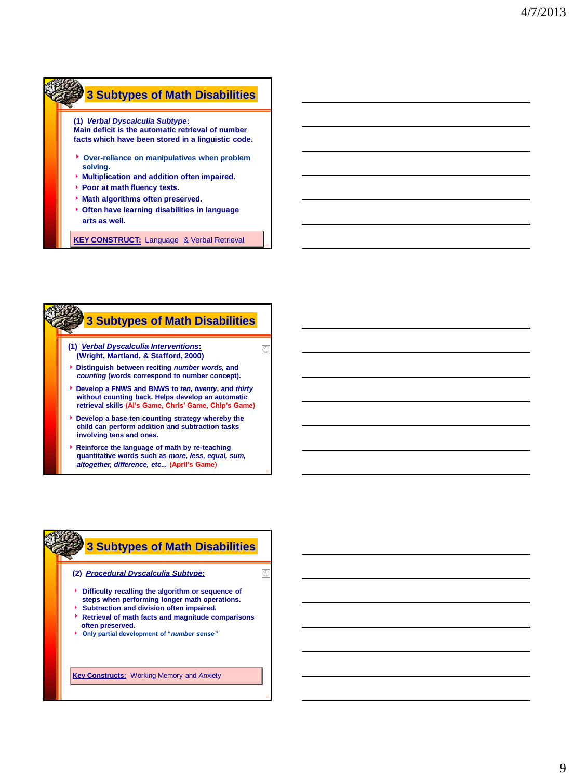# **3 Subtypes of Math Disabilities**

**(1)** *Verbal Dyscalculia Subtype***: Main deficit is the automatic retrieval of number facts which have been stored in a linguistic code.**

- **Over-reliance on manipulatives when problem solving.**
- **Multiplication and addition often impaired.**
- **Poor at math fluency tests.**
- **Math algorithms often preserved.**
- **Often have learning disabilities in language arts as well.**

**KEY CONSTRUCT:** Language & Verbal Retrieval



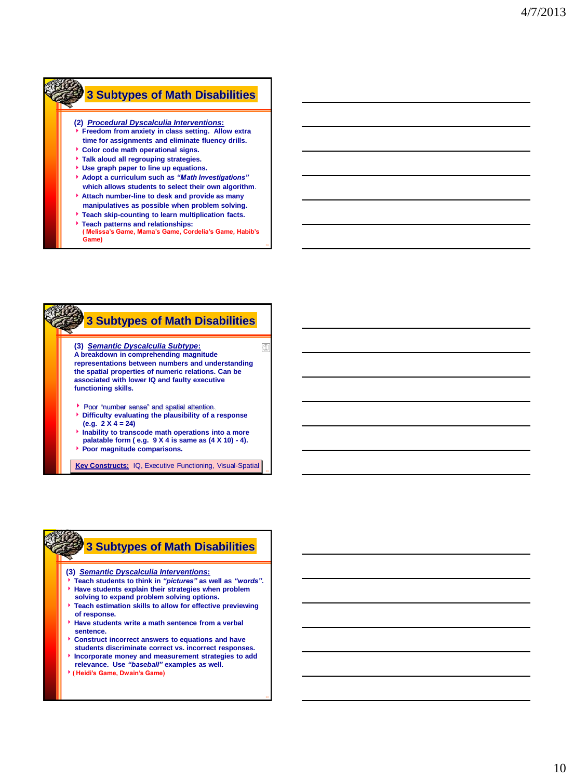# **3 Subtypes of Math Disabilities**

### **(2)** *Procedural Dyscalculia Interventions***:**

- **Freedom from anxiety in class setting. Allow extra time for assignments and eliminate fluency drills.**
- **Color code math operational signs. Talk aloud all regrouping strategies.**
- **Use graph paper to line up equations.**
- **Adopt a curriculum such as** *"Math Investigations"*
- **which allows students to select their own algorithm**. **Attach number-line to desk and provide as many**
- **manipulatives as possible when problem solving.**
- **Teach skip-counting to learn multiplication facts.**
- **Teach patterns and relationships:**
- **( Melissa's Game, Mama's Game, Cordelia's Game, Habib's Game)**



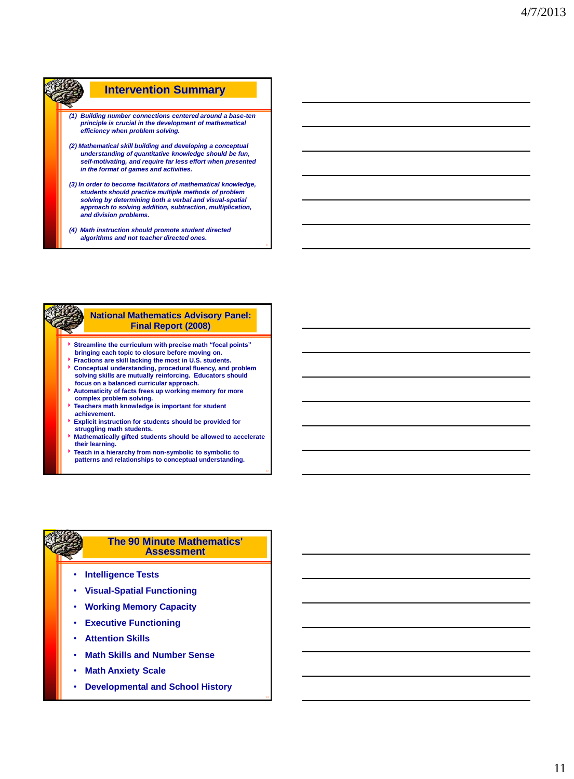### **Intervention Summary**  *(1) Building number connections centered around a base-ten principle is crucial in the development of mathematical efficiency when problem solving. (2) Mathematical skill building and developing a conceptual understanding of quantitative knowledge should be fun, self-motivating, and require far less effort when presented in the format of games and activities. (3) In order to become facilitators of mathematical knowledge, students should practice multiple methods of problem solving by determining both a verbal and visual-spatial approach to solving addition, subtraction, multiplication, and division problems.*

*(4) Math instruction should promote student directed algorithms and not teacher directed ones.*

### **National Mathematics Advisory Panel: Final Report (2008)**

- **Streamline the curriculum with precise math "focal points" bringing each topic to closure before moving on.**
- **Fractions are skill lacking the most in U.S. students.**
- **Conceptual understanding, procedural fluency, and problem solving skills are mutually reinforcing. Educators should focus on a balanced curricular approach.**
- **Automaticity of facts frees up working memory for more complex problem solving.**
- **Teachers math knowledge is important for student achievement.**
- **Explicit instruction for students should be provided for struggling math students.**
- **Mathematically gifted students should be allowed to accelerate their learning.**
- **Teach in a hierarchy from non-symbolic to symbolic to patterns and relationships to conceptual understanding.**

#### **The 90 Minute Mathematics' Assessment**

- **Intelligence Tests**
- **Visual-Spatial Functioning**
- **Working Memory Capacity**
- **Executive Functioning**
- **Attention Skills**
- **Math Skills and Number Sense**
- **Math Anxiety Scale**
- **Developmental and School History**